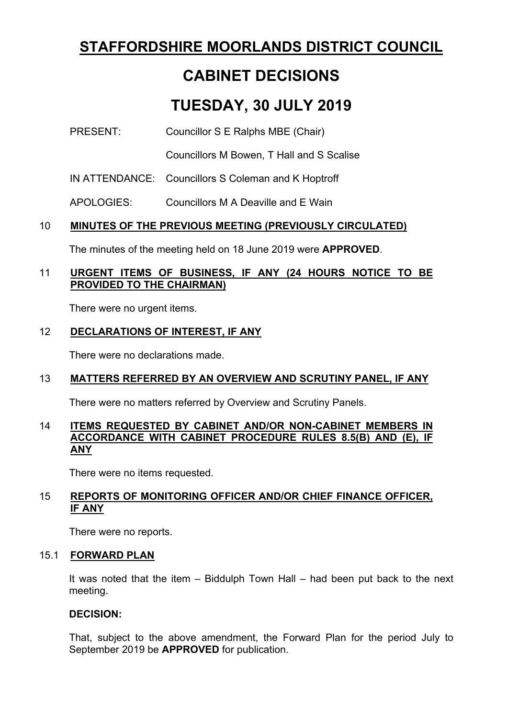# **STAFFORDSHIRE MOORLANDS DISTRICT COUNCIL**

# **CABINET DECISIONS**

# **TUESDAY, 30 JULY 2019**

## PRESENT: Councillor S E Ralphs MBE (Chair)

Councillors M Bowen, T Hall and S Scalise

IN ATTENDANCE: Councillors S Coleman and K Hoptroff

APOLOGIES: Councillors M A Deaville and E Wain

## 10 **MINUTES OF THE PREVIOUS MEETING (PREVIOUSLY CIRCULATED)**

The minutes of the meeting held on 18 June 2019 were **APPROVED**.

## 11 **URGENT ITEMS OF BUSINESS, IF ANY (24 HOURS NOTICE TO BE PROVIDED TO THE CHAIRMAN)**

There were no urgent items.

## 12 **DECLARATIONS OF INTEREST, IF ANY**

There were no declarations made.

## 13 **MATTERS REFERRED BY AN OVERVIEW AND SCRUTINY PANEL, IF ANY**

There were no matters referred by Overview and Scrutiny Panels.

#### 14 **ITEMS REQUESTED BY CABINET AND/OR NON-CABINET MEMBERS IN ACCORDANCE WITH CABINET PROCEDURE RULES 8.5(B) AND (E), IF ANY**

There were no items requested.

## 15 **REPORTS OF MONITORING OFFICER AND/OR CHIEF FINANCE OFFICER, IF ANY**

There were no reports.

## 15.1 **FORWARD PLAN**

It was noted that the item – Biddulph Town Hall – had been put back to the next meeting.

#### **DECISION:**

That, subject to the above amendment, the Forward Plan for the period July to September 2019 be **APPROVED** for publication.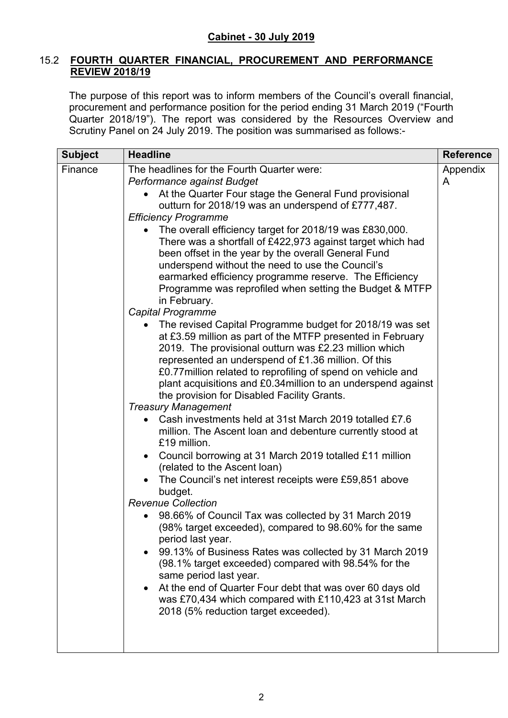#### 15.2 **FOURTH QUARTER FINANCIAL, PROCUREMENT AND PERFORMANCE REVIEW 2018/19**

The purpose of this report was to inform members of the Council's overall financial, procurement and performance position for the period ending 31 March 2019 ("Fourth Quarter 2018/19"). The report was considered by the Resources Overview and Scrutiny Panel on 24 July 2019. The position was summarised as follows:-

| <b>Subject</b> | <b>Headline</b>                                                                                                                                                                                                                                                                                                                                                                                                                                                                                                                                                                                                                                                                                                                                                                                                                                                                                                                                                                                                                                                                                                                                                                                                                                                                                                                                                                                                                                                                                                                                                                                                                                                                                                                                                                                                                                                             | <b>Reference</b> |
|----------------|-----------------------------------------------------------------------------------------------------------------------------------------------------------------------------------------------------------------------------------------------------------------------------------------------------------------------------------------------------------------------------------------------------------------------------------------------------------------------------------------------------------------------------------------------------------------------------------------------------------------------------------------------------------------------------------------------------------------------------------------------------------------------------------------------------------------------------------------------------------------------------------------------------------------------------------------------------------------------------------------------------------------------------------------------------------------------------------------------------------------------------------------------------------------------------------------------------------------------------------------------------------------------------------------------------------------------------------------------------------------------------------------------------------------------------------------------------------------------------------------------------------------------------------------------------------------------------------------------------------------------------------------------------------------------------------------------------------------------------------------------------------------------------------------------------------------------------------------------------------------------------|------------------|
| Finance        | The headlines for the Fourth Quarter were:<br>Performance against Budget<br>At the Quarter Four stage the General Fund provisional<br>outturn for 2018/19 was an underspend of £777,487.<br><b>Efficiency Programme</b><br>The overall efficiency target for 2018/19 was £830,000.<br>There was a shortfall of £422,973 against target which had<br>been offset in the year by the overall General Fund<br>underspend without the need to use the Council's<br>earmarked efficiency programme reserve. The Efficiency<br>Programme was reprofiled when setting the Budget & MTFP<br>in February.<br><b>Capital Programme</b><br>The revised Capital Programme budget for 2018/19 was set<br>at £3.59 million as part of the MTFP presented in February<br>2019. The provisional outturn was £2.23 million which<br>represented an underspend of £1.36 million. Of this<br>£0.77 million related to reprofiling of spend on vehicle and<br>plant acquisitions and £0.34 million to an underspend against<br>the provision for Disabled Facility Grants.<br><b>Treasury Management</b><br>Cash investments held at 31st March 2019 totalled £7.6<br>million. The Ascent loan and debenture currently stood at<br>£19 million.<br>Council borrowing at 31 March 2019 totalled £11 million<br>(related to the Ascent loan)<br>The Council's net interest receipts were £59,851 above<br>budget.<br><b>Revenue Collection</b><br>98.66% of Council Tax was collected by 31 March 2019<br>(98% target exceeded), compared to 98.60% for the same<br>period last year.<br>99.13% of Business Rates was collected by 31 March 2019<br>(98.1% target exceeded) compared with 98.54% for the<br>same period last year.<br>At the end of Quarter Four debt that was over 60 days old<br>was £70,434 which compared with £110,423 at 31st March<br>2018 (5% reduction target exceeded). | Appendix<br>A    |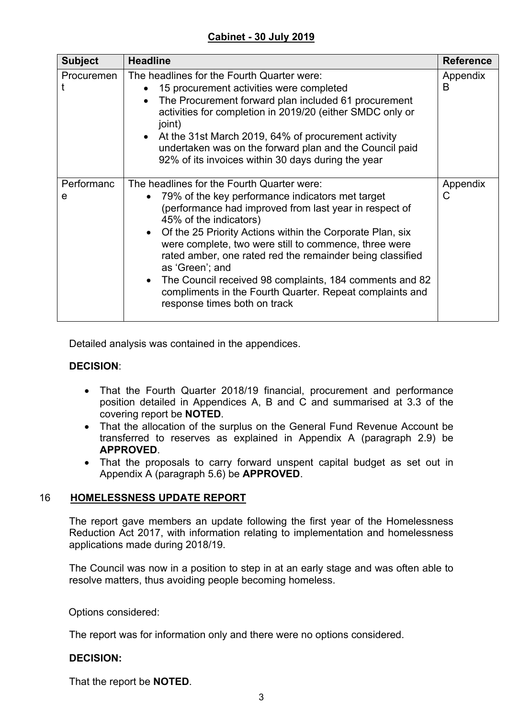## **Cabinet - 30 July 2019**

| <b>Subject</b>  | <b>Headline</b>                                                                                                                                                                                                                                                                                                                                                                                                                                                                                                                                                                        | <b>Reference</b> |
|-----------------|----------------------------------------------------------------------------------------------------------------------------------------------------------------------------------------------------------------------------------------------------------------------------------------------------------------------------------------------------------------------------------------------------------------------------------------------------------------------------------------------------------------------------------------------------------------------------------------|------------------|
| Procuremen      | The headlines for the Fourth Quarter were:<br>15 procurement activities were completed<br>The Procurement forward plan included 61 procurement<br>activities for completion in 2019/20 (either SMDC only or<br>joint)<br>• At the 31st March 2019, 64% of procurement activity<br>undertaken was on the forward plan and the Council paid<br>92% of its invoices within 30 days during the year                                                                                                                                                                                        | Appendix<br>B    |
| Performanc<br>e | The headlines for the Fourth Quarter were:<br>79% of the key performance indicators met target<br>$\bullet$<br>(performance had improved from last year in respect of<br>45% of the indicators)<br>Of the 25 Priority Actions within the Corporate Plan, six<br>$\bullet$<br>were complete, two were still to commence, three were<br>rated amber, one rated red the remainder being classified<br>as 'Green'; and<br>The Council received 98 complaints, 184 comments and 82<br>$\bullet$<br>compliments in the Fourth Quarter. Repeat complaints and<br>response times both on track | Appendix<br>С    |

Detailed analysis was contained in the appendices.

## **DECISION**:

- That the Fourth Quarter 2018/19 financial, procurement and performance position detailed in Appendices A, B and C and summarised at 3.3 of the covering report be **NOTED**.
- That the allocation of the surplus on the General Fund Revenue Account be transferred to reserves as explained in Appendix A (paragraph 2.9) be **APPROVED**.
- That the proposals to carry forward unspent capital budget as set out in Appendix A (paragraph 5.6) be **APPROVED**.

#### 16 **HOMELESSNESS UPDATE REPORT**

The report gave members an update following the first year of the Homelessness Reduction Act 2017, with information relating to implementation and homelessness applications made during 2018/19.

The Council was now in a position to step in at an early stage and was often able to resolve matters, thus avoiding people becoming homeless.

Options considered:

The report was for information only and there were no options considered.

## **DECISION:**

That the report be **NOTED**.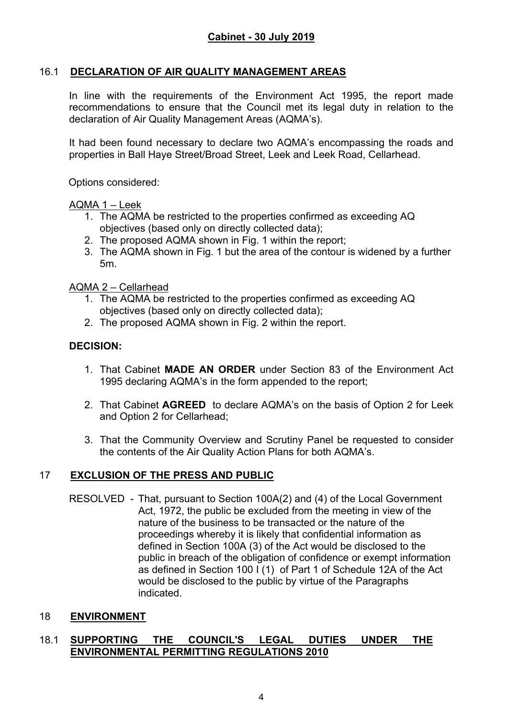## 16.1 **DECLARATION OF AIR QUALITY MANAGEMENT AREAS**

In line with the requirements of the Environment Act 1995, the report made recommendations to ensure that the Council met its legal duty in relation to the declaration of Air Quality Management Areas (AQMA's).

It had been found necessary to declare two AQMA's encompassing the roads and properties in Ball Haye Street/Broad Street, Leek and Leek Road, Cellarhead.

Options considered:

#### AQMA 1 – Leek

- 1. The AQMA be restricted to the properties confirmed as exceeding AQ objectives (based only on directly collected data);
- 2. The proposed AQMA shown in Fig. 1 within the report;
- 3. The AQMA shown in Fig. 1 but the area of the contour is widened by a further 5m.

AQMA 2 – Cellarhead

- 1. The AQMA be restricted to the properties confirmed as exceeding AQ objectives (based only on directly collected data);
- 2. The proposed AQMA shown in Fig. 2 within the report.

#### **DECISION:**

- 1. That Cabinet **MADE AN ORDER** under Section 83 of the Environment Act 1995 declaring AQMA's in the form appended to the report;
- 2. That Cabinet **AGREED** to declare AQMA's on the basis of Option 2 for Leek and Option 2 for Cellarhead;
- 3. That the Community Overview and Scrutiny Panel be requested to consider the contents of the Air Quality Action Plans for both AQMA's.

#### 17 **EXCLUSION OF THE PRESS AND PUBLIC**

RESOLVED - That, pursuant to Section 100A(2) and (4) of the Local Government Act, 1972, the public be excluded from the meeting in view of the nature of the business to be transacted or the nature of the proceedings whereby it is likely that confidential information as defined in Section 100A (3) of the Act would be disclosed to the public in breach of the obligation of confidence or exempt information as defined in Section 100 I (1) of Part 1 of Schedule 12A of the Act would be disclosed to the public by virtue of the Paragraphs indicated.

#### 18 **ENVIRONMENT**

#### 18.1 **SUPPORTING THE COUNCIL'S LEGAL DUTIES UNDER THE ENVIRONMENTAL PERMITTING REGULATIONS 2010**